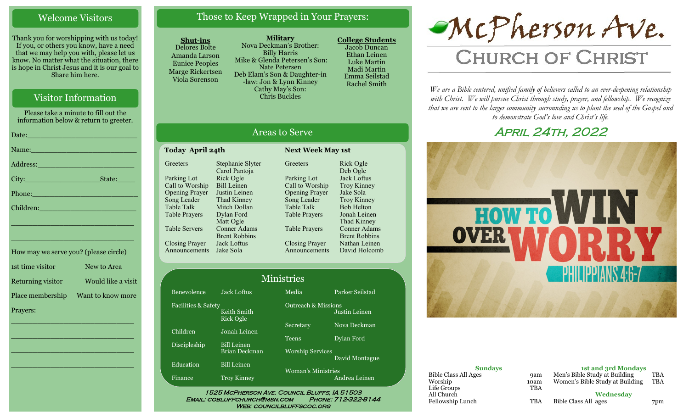#### Welcome Visitors

Thank you for worshipping with us today! If you, or others you know, have a need that we may help you with, please let us know. No matter what the situation, there is hope in Christ Jesus and it is our goal to Share him here.

#### Visitor Information

Please take a minute to fill out the information below & return to greeter.

| Name: Name and the second contract of the second contract of the second contract of the second contract of the       |
|----------------------------------------------------------------------------------------------------------------------|
|                                                                                                                      |
| State:                                                                                                               |
| Phone: 2008 - 2008 - 2008 - 2019 - 2019 - 2019 - 2019 - 2019 - 2019 - 2019 - 2019 - 2019 - 2019 - 2019 - 2019        |
| Children: 2008 - 2008 - 2008 - 2019 - 2019 - 2019 - 2019 - 2019 - 2019 - 2019 - 2019 - 2019 - 2019 - 2019 - 20       |
| <u> 1989 - Johann John Stein, marwolaeth a brenin a brenin a brenin a brenin a brenin a brenin a brenin a brenin</u> |
| the contract of the contract of the contract of the contract of the contract of the contract of the contract of      |

| How may we serve you? (please circle) |                    |
|---------------------------------------|--------------------|
| 1st time visitor                      | New to Area        |
| Returning visitor                     | Would like a visit |
| Place membership                      | Want to know more  |
| Prayers:                              |                    |

\_\_\_\_\_\_\_\_\_\_\_\_\_\_\_\_\_\_\_\_\_\_\_\_\_\_\_\_

\_\_\_\_\_\_\_\_\_\_\_\_\_\_\_\_\_\_\_\_\_\_\_\_\_\_\_\_

\_\_\_\_\_\_\_\_\_\_\_\_\_\_\_\_\_\_\_\_\_\_\_\_\_\_\_\_

\_\_\_\_\_\_\_\_\_\_\_\_\_\_\_\_\_\_\_\_\_\_\_\_\_\_\_\_

#### Those to Keep Wrapped in Your Prayers:

#### **Shut-ins**

Delores Bolte Amanda Larson Eunice Peoples Marge Rickertsen Viola Sorenson

**Military** Nova Deckman's Brother: Billy Harris Mike & Glenda Petersen's Son: Nate Petersen Deb Elam's Son & Daughter-in -law: Jon & Lynn Kinney Cathy May's Son: Chris Buckles

**College Students**  Jacob Duncan Ethan Leinen Luke Martin Madi Martin Emma Seilstad Rachel Smith

# McPherson Ave.

## **CHURCH OF CHRIST**

*We are a Bible centered, unified family of believers called to an ever-deepening relationship*  with Christ. We will pursue Christ through study, prayer, and fellowship. We recognize *that we are sent to the larger community surrounding us to plant the seed of the Gospel and to demonstrate God's love and Christ's life.*

### April 24th, 2022



| <b>Sundays</b>                         |             | 1st and 3rd Mondays                                              |                          |
|----------------------------------------|-------------|------------------------------------------------------------------|--------------------------|
| <b>Bible Class All Ages</b><br>Worship | 9am<br>10am | Men's Bible Study at Building<br>Women's Bible Study at Building | <b>TBA</b><br><b>TBA</b> |
| Life Groups<br>All Church              | <b>TBA</b>  | Wednesday                                                        |                          |
| Fellowship Lunch                       | TBA         | Bible Class All ages                                             | 7pm                      |

#### Areas to Serve

**Greeters** 

| Today April 24th      |                      |  |
|-----------------------|----------------------|--|
| Greeters              | Stephanie Slyter     |  |
|                       | Carol Pantoja        |  |
| Parking Lot           | Rick Ogle            |  |
| Call to Worship       | <b>Bill Leinen</b>   |  |
| <b>Opening Prayer</b> | Justin Leinen        |  |
| Song Leader           | Thad Kinney          |  |
| <b>Table Talk</b>     | Mitch Dollan         |  |
| Table Prayers         | Dylan Ford           |  |
|                       | Matt Ogle            |  |
| Table Servers         | Conner Adams         |  |
|                       | <b>Brent Robbins</b> |  |
| <b>Closing Prayer</b> | Jack Loftus          |  |
| Announcements         | Jake Sola            |  |
|                       |                      |  |

Benevole **Facilities** 

Children

Disciples

Educatio

Finance

| Parking Lot           | Jack Loftus          |
|-----------------------|----------------------|
| Call to Worship       | <b>Troy Kinney</b>   |
| <b>Opening Prayer</b> | Jake Sola            |
| Song Leader           | <b>Troy Kinney</b>   |
| <b>Table Talk</b>     | <b>Bob Helton</b>    |
| <b>Table Prayers</b>  | Jonah Leinen         |
|                       | Thad Kinney          |
| <b>Table Prayers</b>  | <b>Conner Adams</b>  |
|                       | <b>Brent Robbins</b> |
| <b>Closing Prayer</b> | Nathan Leinen        |
| Announcements         | David Holcomb        |
|                       |                      |

Rick Ogle Deb Ogle

tague

**Next Week May 1st** 

| Ministries |                          |                                |                 |  |
|------------|--------------------------|--------------------------------|-----------------|--|
| nce        | <b>Jack Loftus</b>       | Media                          | Parker Seilstad |  |
| & Safety   | Keith Smith<br>Rick Ogle | <b>Outreach &amp; Missions</b> | Justin Leinen   |  |
|            | Jonah Leinen             | Secretary                      | Nova Deckman    |  |
| iip        | <b>Bill Leinen</b>       | Teens                          | Dylan Ford      |  |
|            | <b>Brian Deckman</b>     | <b>Worship Services</b>        | David Montagu   |  |
| ï          | <b>Bill Leinen</b>       | <b>Woman's Ministries</b>      |                 |  |
|            | <b>Troy Kinney</b>       |                                | Andrea Leinen   |  |

1525 McPherson Ave. Council Bluffs, IA 51503 Email: cobluffchurch@msn.com Phone: 712-322-8144 WEB: COUNCILBLUFFSCOC.ORG